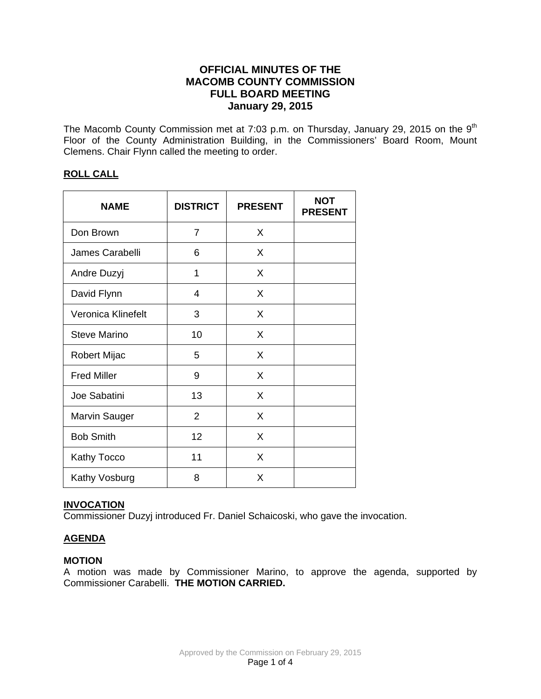# **OFFICIAL MINUTES OF THE MACOMB COUNTY COMMISSION FULL BOARD MEETING January 29, 2015**

The Macomb County Commission met at 7:03 p.m. on Thursday, January 29, 2015 on the  $9<sup>th</sup>$ Floor of the County Administration Building, in the Commissioners' Board Room, Mount Clemens. Chair Flynn called the meeting to order.

## **ROLL CALL**

| <b>NAME</b>          | <b>DISTRICT</b> | <b>PRESENT</b> | <b>NOT</b><br><b>PRESENT</b> |
|----------------------|-----------------|----------------|------------------------------|
| Don Brown            | 7               | X              |                              |
| James Carabelli      | 6               | X              |                              |
| Andre Duzyj          | 1               | X              |                              |
| David Flynn          | 4               | X              |                              |
| Veronica Klinefelt   | 3               | X              |                              |
| <b>Steve Marino</b>  | 10              | X              |                              |
| <b>Robert Mijac</b>  | 5               | X              |                              |
| <b>Fred Miller</b>   | 9               | X              |                              |
| Joe Sabatini         | 13              | X              |                              |
| <b>Marvin Sauger</b> | $\overline{2}$  | X              |                              |
| <b>Bob Smith</b>     | 12              | X              |                              |
| Kathy Tocco          | 11              | X              |                              |
| Kathy Vosburg        | 8               | X              |                              |

### **INVOCATION**

Commissioner Duzyj introduced Fr. Daniel Schaicoski, who gave the invocation.

# **AGENDA**

### **MOTION**

A motion was made by Commissioner Marino, to approve the agenda, supported by Commissioner Carabelli. **THE MOTION CARRIED.**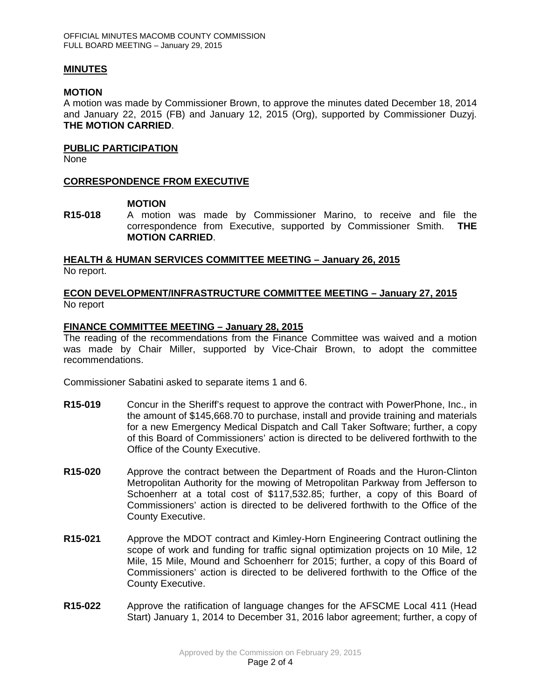#### **MINUTES**

#### **MOTION**

A motion was made by Commissioner Brown, to approve the minutes dated December 18, 2014 and January 22, 2015 (FB) and January 12, 2015 (Org), supported by Commissioner Duzyj. **THE MOTION CARRIED**.

#### **PUBLIC PARTICIPATION**

None

### **CORRESPONDENCE FROM EXECUTIVE**

#### **MOTION**

**R15-018** A motion was made by Commissioner Marino, to receive and file the correspondence from Executive, supported by Commissioner Smith. **THE MOTION CARRIED**.

## **HEALTH & HUMAN SERVICES COMMITTEE MEETING – January 26, 2015** No report.

### **ECON DEVELOPMENT/INFRASTRUCTURE COMMITTEE MEETING – January 27, 2015** No report

### **FINANCE COMMITTEE MEETING – January 28, 2015**

The reading of the recommendations from the Finance Committee was waived and a motion was made by Chair Miller, supported by Vice-Chair Brown, to adopt the committee recommendations.

Commissioner Sabatini asked to separate items 1 and 6.

- **R15-019** Concur in the Sheriff's request to approve the contract with PowerPhone, Inc., in the amount of \$145,668.70 to purchase, install and provide training and materials for a new Emergency Medical Dispatch and Call Taker Software; further, a copy of this Board of Commissioners' action is directed to be delivered forthwith to the Office of the County Executive.
- **R15-020** Approve the contract between the Department of Roads and the Huron-Clinton Metropolitan Authority for the mowing of Metropolitan Parkway from Jefferson to Schoenherr at a total cost of \$117,532.85; further, a copy of this Board of Commissioners' action is directed to be delivered forthwith to the Office of the County Executive.
- **R15-021** Approve the MDOT contract and Kimley-Horn Engineering Contract outlining the scope of work and funding for traffic signal optimization projects on 10 Mile, 12 Mile, 15 Mile, Mound and Schoenherr for 2015; further, a copy of this Board of Commissioners' action is directed to be delivered forthwith to the Office of the County Executive.
- **R15-022** Approve the ratification of language changes for the AFSCME Local 411 (Head Start) January 1, 2014 to December 31, 2016 labor agreement; further, a copy of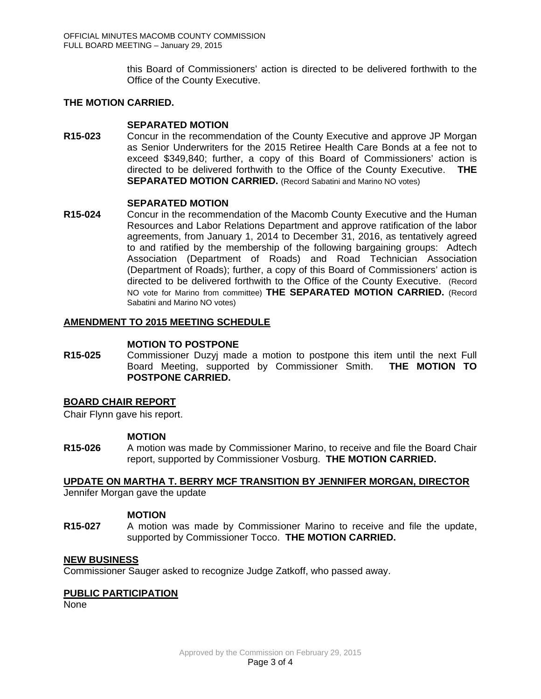this Board of Commissioners' action is directed to be delivered forthwith to the Office of the County Executive.

## **THE MOTION CARRIED.**

#### **SEPARATED MOTION**

**R15-023** Concur in the recommendation of the County Executive and approve JP Morgan as Senior Underwriters for the 2015 Retiree Health Care Bonds at a fee not to exceed \$349,840; further, a copy of this Board of Commissioners' action is directed to be delivered forthwith to the Office of the County Executive. **THE SEPARATED MOTION CARRIED.** (Record Sabatini and Marino NO votes)

### **SEPARATED MOTION**

**R15-024** Concur in the recommendation of the Macomb County Executive and the Human Resources and Labor Relations Department and approve ratification of the labor agreements, from January 1, 2014 to December 31, 2016, as tentatively agreed to and ratified by the membership of the following bargaining groups: Adtech Association (Department of Roads) and Road Technician Association (Department of Roads); further, a copy of this Board of Commissioners' action is directed to be delivered forthwith to the Office of the County Executive. (Record NO vote for Marino from committee) **THE SEPARATED MOTION CARRIED.** (Record Sabatini and Marino NO votes)

### **AMENDMENT TO 2015 MEETING SCHEDULE**

#### **MOTION TO POSTPONE**

**R15-025** Commissioner Duzyj made a motion to postpone this item until the next Full Board Meeting, supported by Commissioner Smith. **THE MOTION TO POSTPONE CARRIED.**

#### **BOARD CHAIR REPORT**

Chair Flynn gave his report.

#### **MOTION**

**R15-026** A motion was made by Commissioner Marino, to receive and file the Board Chair report, supported by Commissioner Vosburg. **THE MOTION CARRIED.**

**UPDATE ON MARTHA T. BERRY MCF TRANSITION BY JENNIFER MORGAN, DIRECTOR** Jennifer Morgan gave the update

#### **MOTION**

**R15-027** A motion was made by Commissioner Marino to receive and file the update, supported by Commissioner Tocco. **THE MOTION CARRIED.** 

#### **NEW BUSINESS**

Commissioner Sauger asked to recognize Judge Zatkoff, who passed away.

#### **PUBLIC PARTICIPATION**

None